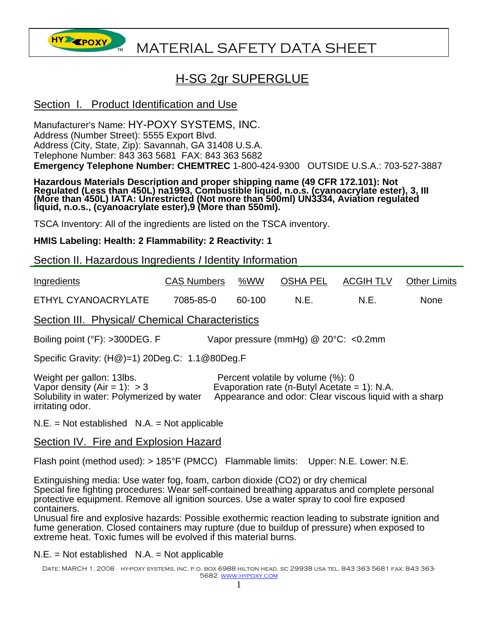

# **HY EPOXY** MATERIAL SAFETY DATA SHEET

# H-SG 2gr SUPERGLUE

### Section I. Product Identification and Use

Manufacturer's Name: HY-POXY SYSTEMS, INC. Address (Number Street): 5555 Export Blvd. Address (City, State, Zip): Savannah, GA 31408 U.S.A. Telephone Number: 843 363 5681 FAX: 843 363 5682 **Emergency Telephone Number: CHEMTREC** 1-800-424-9300 OUTSIDE U.S.A.: 703-527-3887

Hazardous Materials Description and proper shipping name (49 CFR 172.101): Not<br>Regulated (Less than 450L) na1993, Combustible liquid, n.o.s. (cyanoacrylate ester), 3, III<br>(More than 450L) IATA: Unrestricted (Not more than

TSCA Inventory: All of the ingredients are listed on the TSCA inventory.

**HMIS Labeling: Health: 2 Flammability: 2 Reactivity: 1** 

Section II. Hazardous Ingredients *I* Identity Information

| Ingredients         | <b>CAS Numbers</b> | %WW    | OSHA PEL | <b>ACGIH TLV</b> | <b>Other Limits</b> |
|---------------------|--------------------|--------|----------|------------------|---------------------|
| ETHYL CYANOACRYLATE | 7085-85-0          | 60-100 | N.E.     | N.E              | <b>None</b>         |

Section III. Physical/ Chemical Characteristics

Boiling point (°F): >300DEG. F Vapor pressure (mmHg) @ 20°C: <0.2mm

Specific Gravity: (H@)=1) 20Deg.C: 1.1@80Deg.F

Weight per gallon: 13lbs. Percent volatile by volume (%): 0 Vapor density  $(Air = 1): > 3$ <br>Solubility in water: Polymerized by water Appearance and odor: Clear viscous liquid \ Appearance and odor: Clear viscous liquid with a sharp irritating odor.

 $N.E. = Not established N.A. = Not applicable$ 

Section IV. Fire and Explosion Hazard

Flash point (method used): > 185°F (PMCC) Flammable limits: Upper: N.E. Lower: N.E.

Extinguishing media: Use water fog, foam, carbon dioxide (CO2) or dry chemical Special fire fighting procedures: Wear self-contained breathing apparatus and complete personal protective equipment. Remove all ignition sources. Use a water spray to cool fire exposed containers.

Unusual fire and explosive hazards: Possible exothermic reaction leading to substrate ignition and fume generation. Closed containers may rupture (due to buildup of pressure) when exposed to extreme heat. Toxic fumes will be evolved if this material burns.

 $N.E. = Not established N.A. = Not applicable$ 

Date: MARCH 1, 2008 hy-poxy systems, inc. p.o. box 6988 hilton head, sc 29938 usa tel. 843 363 5681 fax: 843 363- 5682 www.hypoxy.com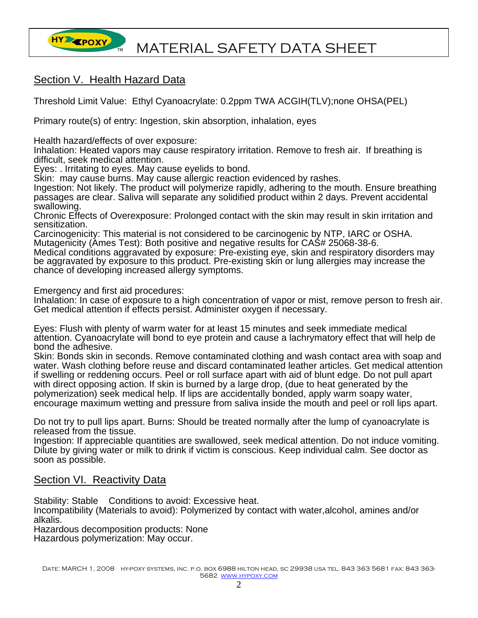

# Section V. Health Hazard Data

Threshold Limit Value: Ethyl Cyanoacrylate: 0.2ppm TWA ACGIH(TLV);none OHSA(PEL)

Primary route(s) of entry: Ingestion, skin absorption, inhalation, eyes

Health hazard/effects of over exposure:

Inhalation: Heated vapors may cause respiratory irritation. Remove to fresh air. If breathing is difficult, seek medical attention.

Eyes: . Irritating to eyes. May cause eyelids to bond.

Skin: may cause burns. May cause allergic reaction evidenced by rashes.

Ingestion: Not likely. The product will polymerize rapidly, adhering to the mouth. Ensure breathing passages are clear. Saliva will separate any solidified product within 2 days. Prevent accidental swallowing.

Chronic Effects of Overexposure: Prolonged contact with the skin may result in skin irritation and sensitization.

Carcinogenicity: This material is not considered to be carcinogenic by NTP, IARC or OSHA. Mutagenicity (Ames Test): Both positive and negative results for CAS# 25068-38-6.

Medical conditions aggravated by exposure: Pre-existing eye, skin and respiratory disorders may be aggravated by exposure to this product. Pre-existing skin or lung allergies may increase the chance of developing increased allergy symptoms.

Emergency and first aid procedures:

Inhalation: In case of exposure to a high concentration of vapor or mist, remove person to fresh air. Get medical attention if effects persist. Administer oxygen if necessary.

Eyes: Flush with plenty of warm water for at least 15 minutes and seek immediate medical attention. Cyanoacrylate will bond to eye protein and cause a lachrymatory effect that will help de bond the adhesive.

Skin: Bonds skin in seconds. Remove contaminated clothing and wash contact area with soap and water. Wash clothing before reuse and discard contaminated leather articles. Get medical attention if swelling or reddening occurs. Peel or roll surface apart with aid of blunt edge. Do not pull apart with direct opposing action. If skin is burned by a large drop, (due to heat generated by the polymerization) seek medical help. If lips are accidentally bonded, apply warm soapy water, encourage maximum wetting and pressure from saliva inside the mouth and peel or roll lips apart.

Do not try to pull lips apart. Burns: Should be treated normally after the lump of cyanoacrylate is released from the tissue.

Ingestion: If appreciable quantities are swallowed, seek medical attention. Do not induce vomiting. Dilute by giving water or milk to drink if victim is conscious. Keep individual calm. See doctor as soon as possible.

#### Section VI. Reactivity Data

Stability: Stable Conditions to avoid: Excessive heat.

Incompatibility (Materials to avoid): Polymerized by contact with water,alcohol, amines and/or alkalis.

Hazardous decomposition products: None

Hazardous polymerization: May occur.